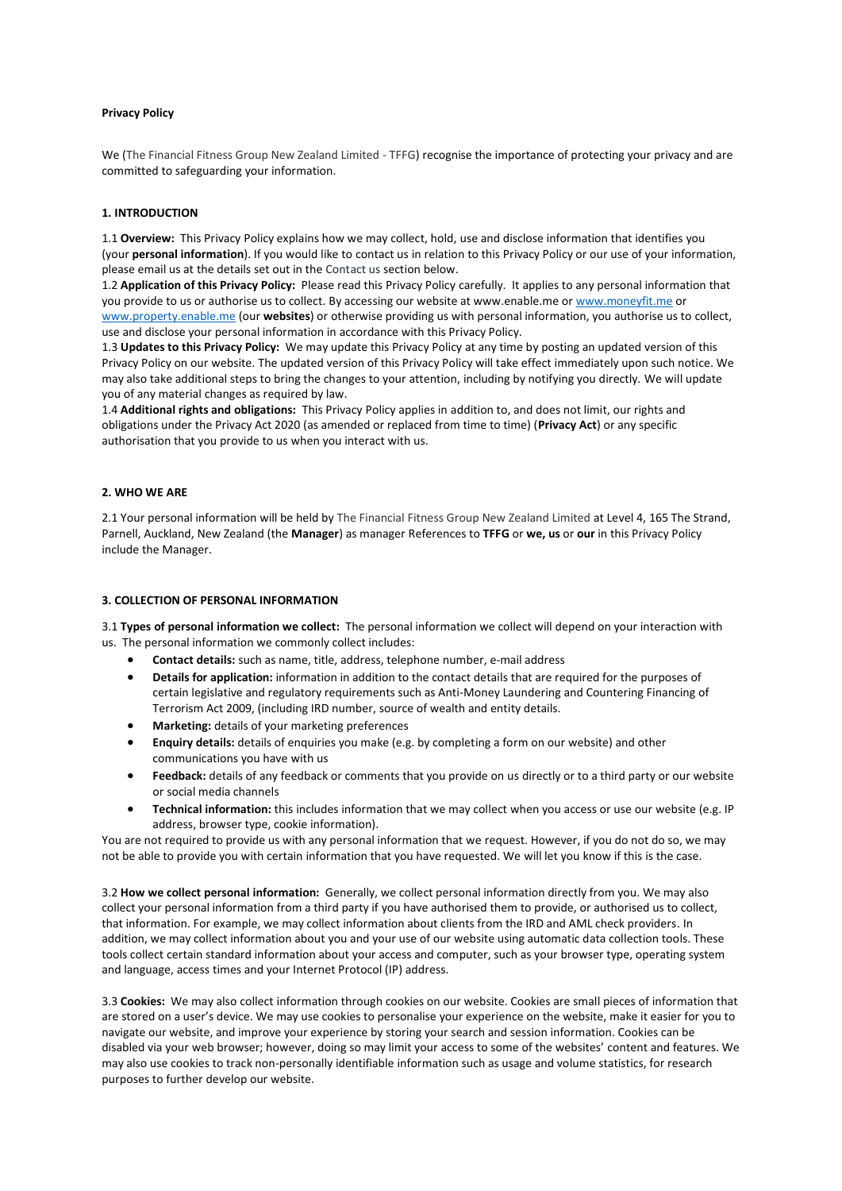## **Privacy Policy**

We (The Financial Fitness Group New Zealand Limited - TFFG) recognise the importance of protecting your privacy and are committed to safeguarding your information.

# **1. INTRODUCTION**

1.1 **Overview:** This Privacy Policy explains how we may collect, hold, use and disclose information that identifies you (your **personal information**). If you would like to contact us in relation to this Privacy Policy or our use of your information, please email us at the details set out in the [Contact](https://www.piefunds.co.nz/Contact-Us) us section below.

1.2 **Application of this Privacy Policy:** Please read this Privacy Policy carefully. It applies to any personal information that you provide to us or authorise us to collect. By accessing our website at www.enable.me o[r www.moneyfit.me](http://www.moneyfit.me/) or [www.property.enable.me](http://www.property.enable.me/) (our **websites**) or otherwise providing us with personal information, you authorise us to collect, use and disclose your personal information in accordance with this Privacy Policy.

1.3 **Updates to this Privacy Policy:** We may update this Privacy Policy at any time by posting an updated version of this Privacy Policy on our website. The updated version of this Privacy Policy will take effect immediately upon such notice. We may also take additional steps to bring the changes to your attention, including by notifying you directly. We will update you of any material changes as required by law.

1.4 **Additional rights and obligations:** This Privacy Policy applies in addition to, and does not limit, our rights and obligations under the Privacy Act 2020 (as amended or replaced from time to time) (**Privacy Act**) or any specific authorisation that you provide to us when you interact with us.

## **2. WHO WE ARE**

2.1 Your personal information will be held by The Financial Fitness Group New Zealand Limited at Level 4, 165 The Strand, Parnell, Auckland, New Zealand (the **Manager**) as manager References to **TFFG** or **we, us** or **our** in this Privacy Policy include the Manager.

## **3. COLLECTION OF PERSONAL INFORMATION**

3.1 **Types of personal information we collect:** The personal information we collect will depend on your interaction with us. The personal information we commonly collect includes:

- **Contact details:** such as name, title, address, telephone number, e-mail address
- **Details for application:** information in addition to the contact details that are required for the purposes of certain legislative and regulatory requirements such as Anti-Money Laundering and Countering Financing of Terrorism Act 2009, (including IRD number, source of wealth and entity details.
- **Marketing:** details of your marketing preferences
- **Enquiry details:** details of enquiries you make (e.g. by completing a form on our website) and other communications you have with us
- **Feedback:** details of any feedback or comments that you provide on us directly or to a third party or our website or social media channels
- **Technical information:** this includes information that we may collect when you access or use our website (e.g. IP address, browser type, cookie information).

You are not required to provide us with any personal information that we request. However, if you do not do so, we may not be able to provide you with certain information that you have requested. We will let you know if this is the case.

3.2 **How we collect personal information:** Generally, we collect personal information directly from you. We may also collect your personal information from a third party if you have authorised them to provide, or authorised us to collect, that information. For example, we may collect information about clients from the IRD and AML check providers. In addition, we may collect information about you and your use of our website using automatic data collection tools. These tools collect certain standard information about your access and computer, such as your browser type, operating system and language, access times and your Internet Protocol (IP) address.

3.3 **Cookies:** We may also collect information through cookies on our website. Cookies are small pieces of information that are stored on a user's device. We may use cookies to personalise your experience on the website, make it easier for you to navigate our website, and improve your experience by storing your search and session information. Cookies can be disabled via your web browser; however, doing so may limit your access to some of the websites' content and features. We may also use cookies to track non-personally identifiable information such as usage and volume statistics, for research purposes to further develop our website.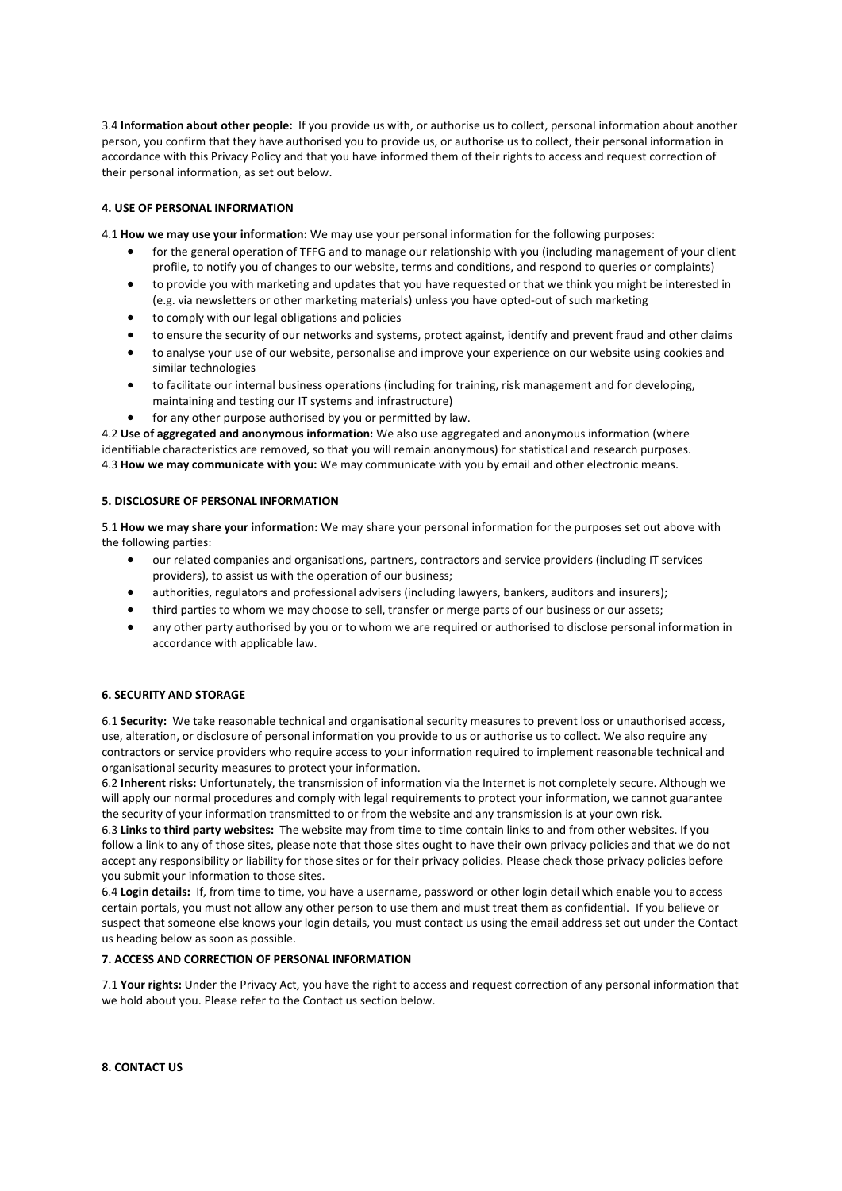3.4 **Information about other people:** If you provide us with, or authorise us to collect, personal information about another person, you confirm that they have authorised you to provide us, or authorise us to collect, their personal information in accordance with this Privacy Policy and that you have informed them of their rights to access and request correction of their personal information, as set out below.

# **4. USE OF PERSONAL INFORMATION**

4.1 **How we may use your information:** We may use your personal information for the following purposes:

- for the general operation of TFFG and to manage our relationship with you (including management of your client profile, to notify you of changes to our website, terms and conditions, and respond to queries or complaints)
- to provide you with marketing and updates that you have requested or that we think you might be interested in (e.g. via newsletters or other marketing materials) unless you have opted-out of such marketing
- to comply with our legal obligations and policies
- to ensure the security of our networks and systems, protect against, identify and prevent fraud and other claims
- to analyse your use of our website, personalise and improve your experience on our website using cookies and similar technologies
- to facilitate our internal business operations (including for training, risk management and for developing, maintaining and testing our IT systems and infrastructure)
- for any other purpose authorised by you or permitted by law.

4.2 **Use of aggregated and anonymous information:** We also use aggregated and anonymous information (where identifiable characteristics are removed, so that you will remain anonymous) for statistical and research purposes. 4.3 **How we may communicate with you:** We may communicate with you by email and other electronic means.

### **5. DISCLOSURE OF PERSONAL INFORMATION**

5.1 **How we may share your information:** We may share your personal information for the purposes set out above with the following parties:

- our related companies and organisations, partners, contractors and service providers (including IT services providers), to assist us with the operation of our business;
- authorities, regulators and professional advisers (including lawyers, bankers, auditors and insurers);
- third parties to whom we may choose to sell, transfer or merge parts of our business or our assets;
- any other party authorised by you or to whom we are required or authorised to disclose personal information in accordance with applicable law.

### **6. SECURITY AND STORAGE**

6.1 **Security:** We take reasonable technical and organisational security measures to prevent loss or unauthorised access, use, alteration, or disclosure of personal information you provide to us or authorise us to collect. We also require any contractors or service providers who require access to your information required to implement reasonable technical and organisational security measures to protect your information.

6.2 **Inherent risks:** Unfortunately, the transmission of information via the Internet is not completely secure. Although we will apply our normal procedures and comply with legal requirements to protect your information, we cannot guarantee the security of your information transmitted to or from the website and any transmission is at your own risk.

6.3 **Links to third party websites:** The website may from time to time contain links to and from other websites. If you follow a link to any of those sites, please note that those sites ought to have their own privacy policies and that we do not accept any responsibility or liability for those sites or for their privacy policies. Please check those privacy policies before you submit your information to those sites.

6.4 **Login details:** If, from time to time, you have a username, password or other login detail which enable you to access certain portals, you must not allow any other person to use them and must treat them as confidential. If you believe or suspect that someone else knows your login details, you must contact us using the email address set out under the Contact us heading below as soon as possible.

### **7. ACCESS AND CORRECTION OF PERSONAL INFORMATION**

7.1 **Your rights:** Under the Privacy Act, you have the right to access and request correction of any personal information that we hold about you. Please refer to the Contact us section below.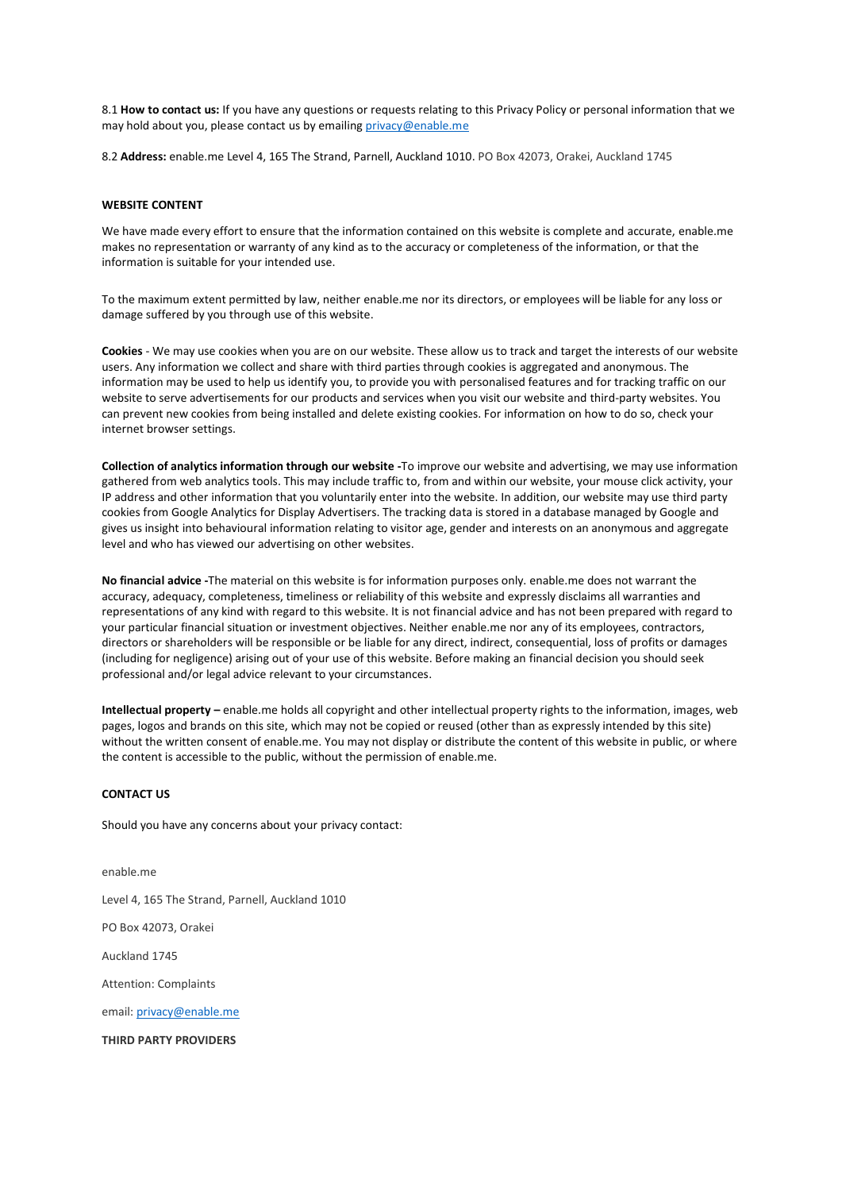8.1 **How to contact us:** If you have any questions or requests relating to this Privacy Policy or personal information that we may hold about you, please contact us by emailing [privacy@enable.me](mailto:privacy@enable.me)

8.2 **Address:** enable.me Level 4, 165 The Strand, Parnell, Auckland 1010. PO Box 42073, Orakei, Auckland 1745

### **WEBSITE CONTENT**

We have made every effort to ensure that the information contained on this website is complete and accurate, enable.me makes no representation or warranty of any kind as to the accuracy or completeness of the information, or that the information is suitable for your intended use.

To the maximum extent permitted by law, neither enable.me nor its directors, or employees will be liable for any loss or damage suffered by you through use of this website.

**Cookies** - We may use cookies when you are on our website. These allow us to track and target the interests of our website users. Any information we collect and share with third parties through cookies is aggregated and anonymous. The information may be used to help us identify you, to provide you with personalised features and for tracking traffic on our website to serve advertisements for our products and services when you visit our website and third-party websites. You can prevent new cookies from being installed and delete existing cookies. For information on how to do so, check your internet browser settings.

**Collection of analytics information through our website -**To improve our website and advertising, we may use information gathered from web analytics tools. This may include traffic to, from and within our website, your mouse click activity, your IP address and other information that you voluntarily enter into the website. In addition, our website may use third party cookies from Google Analytics for Display Advertisers. The tracking data is stored in a database managed by Google and gives us insight into behavioural information relating to visitor age, gender and interests on an anonymous and aggregate level and who has viewed our advertising on other websites.

**No financial advice -**The material on this website is for information purposes only. enable.me does not warrant the accuracy, adequacy, completeness, timeliness or reliability of this website and expressly disclaims all warranties and representations of any kind with regard to this website. It is not financial advice and has not been prepared with regard to your particular financial situation or investment objectives. Neither enable.me nor any of its employees, contractors, directors or shareholders will be responsible or be liable for any direct, indirect, consequential, loss of profits or damages (including for negligence) arising out of your use of this website. Before making an financial decision you should seek professional and/or legal advice relevant to your circumstances.

**Intellectual property –** enable.me holds all copyright and other intellectual property rights to the information, images, web pages, logos and brands on this site, which may not be copied or reused (other than as expressly intended by this site) without the written consent of enable.me. You may not display or distribute the content of this website in public, or where the content is accessible to the public, without the permission of enable.me.

#### **CONTACT US**

Should you have any concerns about your privacy contact:

enable.me Level 4, 165 The Strand, Parnell, Auckland 1010 PO Box 42073, Orakei Auckland 1745 Attention: Complaints email[: privacy@enable.me](mailto:privacy@enable.me)

**THIRD PARTY PROVIDERS**